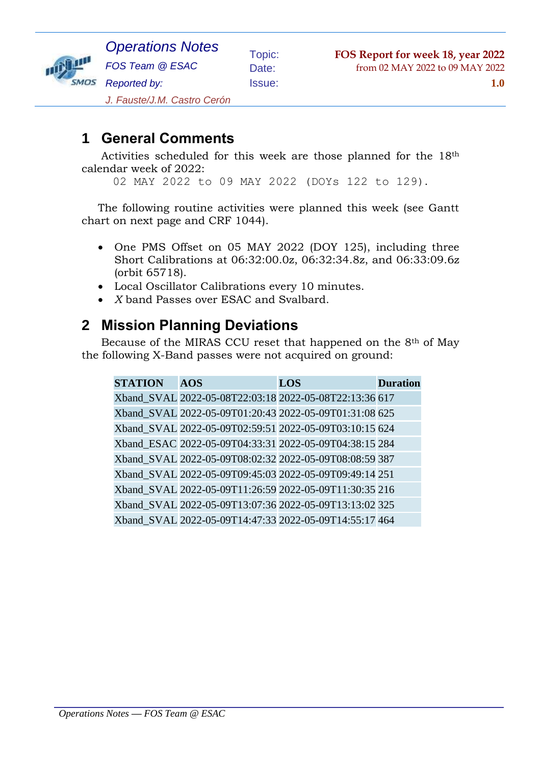

*J. Fauste/J.M. Castro Cerón*

# **1 General Comments**

Activities scheduled for this week are those planned for the 18th calendar week of 2022:

02 MAY 2022 to 09 MAY 2022 (DOYs 122 to 129).

The following routine activities were planned this week (see Gantt chart on next page and CRF 1044).

- One PMS Offset on 05 MAY 2022 (DOY 125), including three Short Calibrations at 06:32:00.0z, 06:32:34.8z, and 06:33:09.6z (orbit 65718).
- Local Oscillator Calibrations every 10 minutes.
- *X* band Passes over ESAC and Svalbard.

#### **2 Mission Planning Deviations**

Because of the MIRAS CCU reset that happened on the 8th of May the following X-Band passes were not acquired on ground:

| <b>STATION</b> | <b>AOS</b>                                             | LOS | <b>Duration</b> |
|----------------|--------------------------------------------------------|-----|-----------------|
|                | Xband_SVAL 2022-05-08T22:03:18 2022-05-08T22:13:36 617 |     |                 |
|                | Xband_SVAL 2022-05-09T01:20:43 2022-05-09T01:31:08 625 |     |                 |
|                | Xband SVAL 2022-05-09T02:59:51 2022-05-09T03:10:15 624 |     |                 |
|                | Xband ESAC 2022-05-09T04:33:31 2022-05-09T04:38:15 284 |     |                 |
|                | Xband SVAL 2022-05-09T08:02:32 2022-05-09T08:08:59 387 |     |                 |
|                | Xband SVAL 2022-05-09T09:45:03 2022-05-09T09:49:14 251 |     |                 |
|                | Xband_SVAL 2022-05-09T11:26:59 2022-05-09T11:30:35 216 |     |                 |
|                | Xband SVAL 2022-05-09T13:07:36 2022-05-09T13:13:02 325 |     |                 |
|                | Xband SVAL 2022-05-09T14:47:33 2022-05-09T14:55:17 464 |     |                 |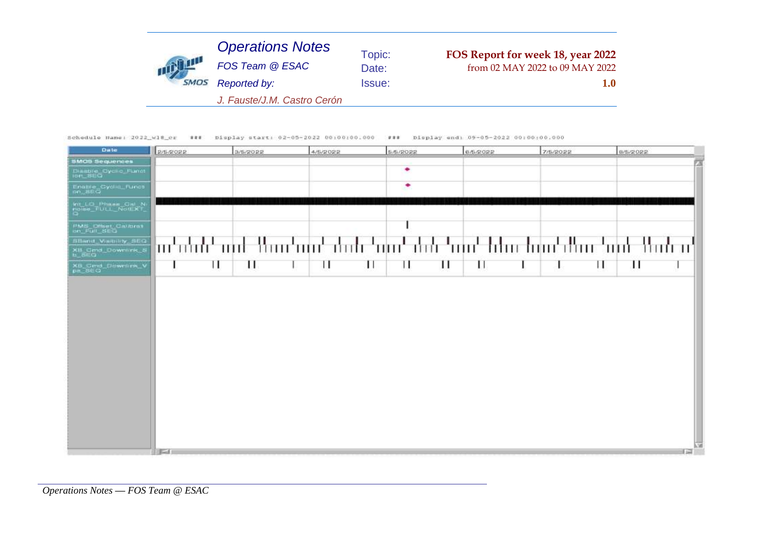| $10^{11}$ | <b>Operations Notes</b>     | Topic:        | FOS Report for week 18, year 2022 |
|-----------|-----------------------------|---------------|-----------------------------------|
|           | FOS Team @ ESAC             | Date:         | from 02 MAY 2022 to 09 MAY 2022   |
|           | Reported by:                | <b>Issue:</b> | 1.0                               |
|           | J. Fauste/J.M. Castro Cerón |               |                                   |

Schedule Hame: 2022\_w18\_cr ### bisplay start: 02-05-2022 00:00:00.000 ### bisplay end: 09-05-2022 00:00:00.000

| Date                                              | 2/5/2022 | 3/5/2022 | 4/5/2022 | 5/5/2022 | 6/5/2022 | 7/5/2022 | 8/5/2022                                                 |
|---------------------------------------------------|----------|----------|----------|----------|----------|----------|----------------------------------------------------------|
| <b>SMCS Sequences</b>                             |          |          |          |          |          |          | z                                                        |
| Diasble Oyclic Funct                              |          |          |          | ٠        |          |          |                                                          |
| Enable_Cyclic_Funct                               |          |          |          | ٠        |          |          |                                                          |
| <b>Int_LO_Phase_Cal_N:</b><br>Poles_TULL_NotLXT_  |          |          |          |          |          |          |                                                          |
| PMS_Dffset_Calibrat                               |          |          |          |          |          |          |                                                          |
| SBand Valbility SEQ<br>XB_Cmd_Downlink_5<br>b_SEO |          |          |          |          |          |          | ա եմսկ այլ Այսպան մտի այլ մոկ այլ կկու հայ մաս այլ Ասկ մ |
| XB_Cmd_Downlink_V<br>ps_SEQ                       | ш        | п        | Ш<br>Ш   | П<br>Ш   | ш        | Ш        | $\mathbf{H}$                                             |
|                                                   |          |          |          |          |          |          |                                                          |
|                                                   |          |          |          |          |          |          |                                                          |
|                                                   |          |          |          |          |          |          |                                                          |
|                                                   |          |          |          |          |          |          |                                                          |
|                                                   |          |          |          |          |          |          |                                                          |
|                                                   |          |          |          |          |          |          |                                                          |
|                                                   |          |          |          |          |          |          |                                                          |
|                                                   |          |          |          |          |          |          |                                                          |
|                                                   |          |          |          |          |          |          |                                                          |
|                                                   |          |          |          |          |          |          |                                                          |
|                                                   |          |          |          |          |          |          | hЖ                                                       |
|                                                   | $F - 1$  |          |          |          |          |          | 11.12                                                    |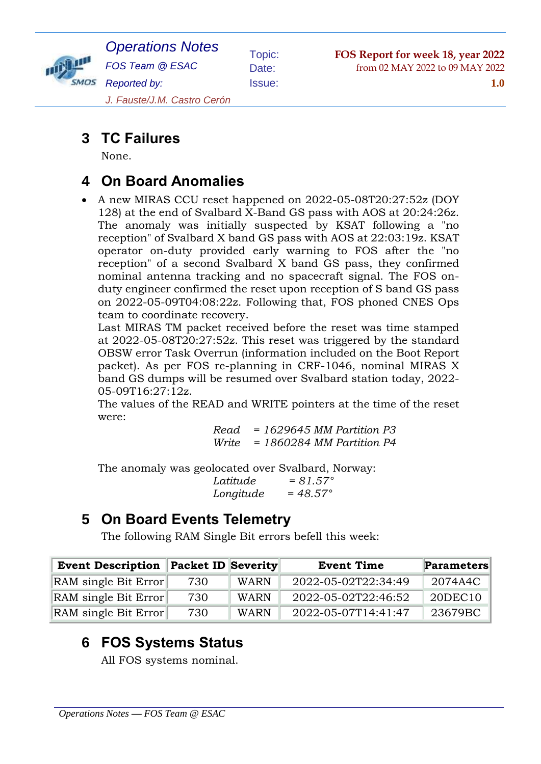

*Operations Notes FOS Team @ ESAC Reported by:*

Topic: **FOS Report for week 18, year 2022** Date: from 02 MAY 2022 to 09 MAY 2022

Issue: **1.0**

*J. Fauste/J.M. Castro Cerón*

# **3 TC Failures**

None.

### **4 On Board Anomalies**

• A new MIRAS CCU reset happened on 2022-05-08T20:27:52z (DOY 128) at the end of Svalbard X-Band GS pass with AOS at 20:24:26z. The anomaly was initially suspected by KSAT following a "no reception" of Svalbard X band GS pass with AOS at 22:03:19z. KSAT operator on-duty provided early warning to FOS after the "no reception" of a second Svalbard X band GS pass, they confirmed nominal antenna tracking and no spacecraft signal. The FOS onduty engineer confirmed the reset upon reception of S band GS pass on 2022-05-09T04:08:22z. Following that, FOS phoned CNES Ops team to coordinate recovery.

Last MIRAS TM packet received before the reset was time stamped at 2022-05-08T20:27:52z. This reset was triggered by the standard OBSW error Task Overrun (information included on the Boot Report packet). As per FOS re-planning in CRF-1046, nominal MIRAS X band GS dumps will be resumed over Svalbard station today, 2022- 05-09T16:27:12z.

The values of the READ and WRITE pointers at the time of the reset were:

 *Read = 1629645 MM Partition P3 Write = 1860284 MM Partition P4*

The anomaly was geolocated over Svalbard, Norway:

| Latitude  | $= 81.57$ ° |
|-----------|-------------|
| Longitude | $= 48.57$ ° |

#### **5 On Board Events Telemetry**

The following RAM Single Bit errors befell this week:

| <b>Event Description Packet ID Severity</b> |     |             | <b>Event Time</b>   | <b>Parameters</b> |
|---------------------------------------------|-----|-------------|---------------------|-------------------|
| RAM single Bit Error                        | 730 | <b>WARN</b> | 2022-05-02T22:34:49 | 2074A4C           |
| RAM single Bit Error                        | 730 | <b>WARN</b> | 2022-05-02T22:46:52 | $20$ DEC $10$     |
| RAM single Bit Error                        | 730 | <b>WARN</b> | 2022-05-07T14:41:47 | 23679BC           |

#### **6 FOS Systems Status**

All FOS systems nominal.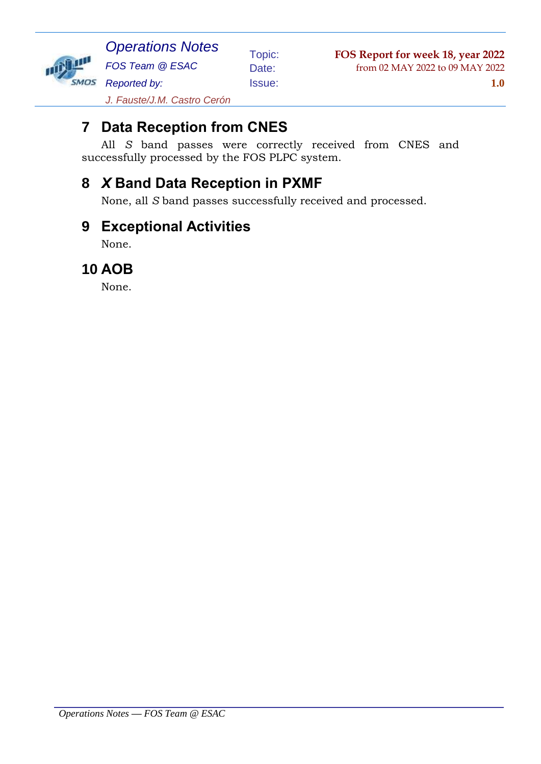

Topic: **FOS Report for week 18, year 2022** Date: from 02 MAY 2022 to 09 MAY 2022

Issue: **1.0**

*J. Fauste/J.M. Castro Cerón*

### **7 Data Reception from CNES**

All *S* band passes were correctly received from CNES and successfully processed by the FOS PLPC system.

# **8** *X* **Band Data Reception in PXMF**

None, all *S* band passes successfully received and processed.

#### **9 Exceptional Activities**

None.

#### **10 AOB**

None.